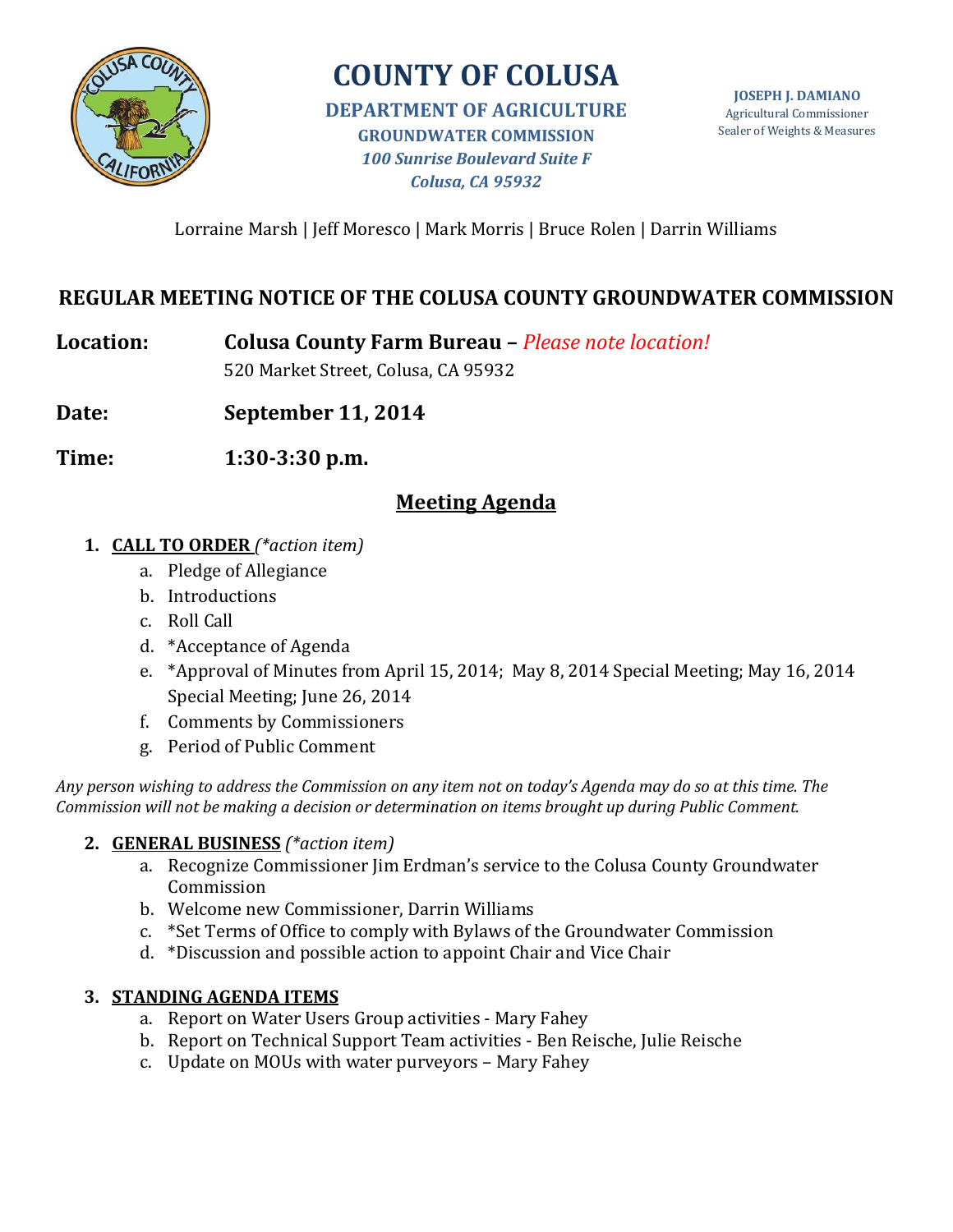

# **COUNTY OF COLUSA**

**DEPARTMENT OF AGRICULTURE GROUNDWATER COMMISSION** *100 Sunrise Boulevard Suite F Colusa, CA 95932*

Lorraine Marsh | Jeff Moresco | Mark Morris | Bruce Rolen | Darrin Williams

## **REGULAR MEETING NOTICE OF THE COLUSA COUNTY GROUNDWATER COMMISSION**

**Location: Colusa County Farm Bureau –** *Please note location!*

520 Market Street, Colusa, CA 95932

**Date: September 11, 2014**

**Time: 1:30-3:30 p.m.**

# **Meeting Agenda**

- **1. CALL TO ORDER** *(\*action item)*
	- a. Pledge of Allegiance
	- b. Introductions
	- c. Roll Call
	- d. \*Acceptance of Agenda
	- e. \*Approval of Minutes from April 15, 2014; May 8, 2014 Special Meeting; May 16, 2014 Special Meeting; June 26, 2014
	- f. Comments by Commissioners
	- g. Period of Public Comment

*Any person wishing to address the Commission on any item not on today's Agenda may do so at this time. The Commission will not be making a decision or determination on items brought up during Public Comment.*

## **2. GENERAL BUSINESS** *(\*action item)*

- a. Recognize Commissioner Jim Erdman's service to the Colusa County Groundwater Commission
- b. Welcome new Commissioner, Darrin Williams
- c. \*Set Terms of Office to comply with Bylaws of the Groundwater Commission
- d. \*Discussion and possible action to appoint Chair and Vice Chair

## **3. STANDING AGENDA ITEMS**

- a. Report on Water Users Group activities Mary Fahey
- b. Report on Technical Support Team activities Ben Reische, Julie Reische
- c. Update on MOUs with water purveyors Mary Fahey